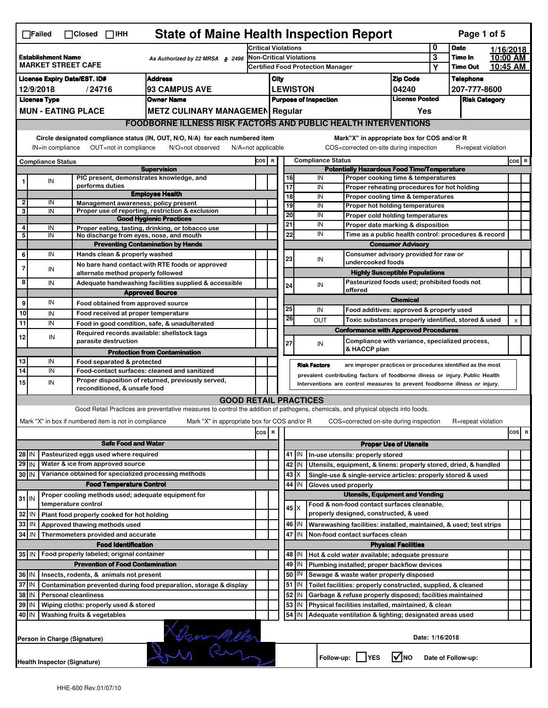| <b>State of Maine Health Inspection Report</b><br>Page 1 of 5<br>$\Box$ Failed<br>$\Box$ Closed $\Box$ IHH                                                                                                                                                      |                                                                                                   |                                                                                                                                                                                                                        |                                                                                                                                   |                                                                            |                                                                                                |                                          |                 |                          |                                                                    |                               |                            |                      |  |         |   |
|-----------------------------------------------------------------------------------------------------------------------------------------------------------------------------------------------------------------------------------------------------------------|---------------------------------------------------------------------------------------------------|------------------------------------------------------------------------------------------------------------------------------------------------------------------------------------------------------------------------|-----------------------------------------------------------------------------------------------------------------------------------|----------------------------------------------------------------------------|------------------------------------------------------------------------------------------------|------------------------------------------|-----------------|--------------------------|--------------------------------------------------------------------|-------------------------------|----------------------------|----------------------|--|---------|---|
|                                                                                                                                                                                                                                                                 |                                                                                                   |                                                                                                                                                                                                                        |                                                                                                                                   | <b>Critical Violations</b>                                                 |                                                                                                |                                          |                 |                          |                                                                    | 0                             | <b>Date</b>                | 1/16/2018            |  |         |   |
| <b>Establishment Name</b><br>As Authorized by 22 MRSA § 2496<br><b>MARKET STREET CAFE</b>                                                                                                                                                                       |                                                                                                   |                                                                                                                                                                                                                        |                                                                                                                                   | <b>Non-Critical Violations</b><br><b>Certified Food Protection Manager</b> |                                                                                                |                                          |                 |                          |                                                                    | $\overline{\mathbf{3}}$<br>Υ  | Time In<br><b>Time Out</b> | 10:00 AM<br>10:45 AM |  |         |   |
| <b>Address</b>                                                                                                                                                                                                                                                  |                                                                                                   |                                                                                                                                                                                                                        |                                                                                                                                   |                                                                            |                                                                                                |                                          |                 |                          |                                                                    |                               |                            |                      |  |         |   |
| <b>License Expiry Date/EST. ID#</b><br>93 CAMPUS AVE<br>12/9/2018                                                                                                                                                                                               |                                                                                                   |                                                                                                                                                                                                                        |                                                                                                                                   |                                                                            | City                                                                                           |                                          |                 |                          |                                                                    | <b>Zip Code</b><br>04240      |                            | <b>Telephone</b>     |  |         |   |
|                                                                                                                                                                                                                                                                 | <b>License Type</b>                                                                               | /24716                                                                                                                                                                                                                 | <b>Owner Name</b>                                                                                                                 |                                                                            | <b>LEWISTON</b><br><b>License Posted</b>                                                       |                                          |                 |                          |                                                                    |                               |                            | 207-777-8600         |  |         |   |
|                                                                                                                                                                                                                                                                 | <b>MUN - EATING PLACE</b><br><b>METZ CULINARY MANAGEMEN Regular</b>                               |                                                                                                                                                                                                                        |                                                                                                                                   |                                                                            | <b>Purpose of Inspection</b><br><b>Risk Category</b>                                           |                                          |                 |                          |                                                                    |                               |                            |                      |  |         |   |
|                                                                                                                                                                                                                                                                 |                                                                                                   |                                                                                                                                                                                                                        |                                                                                                                                   |                                                                            | Yes                                                                                            |                                          |                 |                          |                                                                    |                               |                            |                      |  |         |   |
| <b>FOODBORNE ILLNESS RISK FACTORS AND PUBLIC HEALTH INTERVENTIONS</b>                                                                                                                                                                                           |                                                                                                   |                                                                                                                                                                                                                        |                                                                                                                                   |                                                                            |                                                                                                |                                          |                 |                          |                                                                    |                               |                            |                      |  |         |   |
| Circle designated compliance status (IN, OUT, N/O, N/A) for each numbered item<br>Mark"X" in appropriate box for COS and/or R<br>OUT=not in compliance<br>COS=corrected on-site during inspection<br>IN=in compliance<br>N/O=not observed<br>N/A=not applicable |                                                                                                   |                                                                                                                                                                                                                        |                                                                                                                                   |                                                                            |                                                                                                |                                          |                 |                          | R=repeat violation                                                 |                               |                            |                      |  |         |   |
|                                                                                                                                                                                                                                                                 | <b>Compliance Status</b>                                                                          |                                                                                                                                                                                                                        |                                                                                                                                   | COS R                                                                      |                                                                                                |                                          |                 | <b>Compliance Status</b> |                                                                    |                               |                            |                      |  | $cos$ R |   |
| <b>Supervision</b><br>PIC present, demonstrates knowledge, and                                                                                                                                                                                                  |                                                                                                   |                                                                                                                                                                                                                        |                                                                                                                                   |                                                                            | <b>Potentially Hazardous Food Time/Temperature</b><br>16<br>Proper cooking time & temperatures |                                          |                 |                          |                                                                    |                               |                            |                      |  |         |   |
|                                                                                                                                                                                                                                                                 | IN                                                                                                | performs duties                                                                                                                                                                                                        |                                                                                                                                   |                                                                            |                                                                                                |                                          | 17              | IN<br>IN                 | Proper reheating procedures for hot holding                        |                               |                            |                      |  |         |   |
|                                                                                                                                                                                                                                                                 |                                                                                                   |                                                                                                                                                                                                                        | <b>Employee Health</b>                                                                                                            |                                                                            |                                                                                                |                                          | $\overline{18}$ | IN                       | Proper cooling time & temperatures                                 |                               |                            |                      |  |         |   |
| 2                                                                                                                                                                                                                                                               | IN                                                                                                | Management awareness; policy present                                                                                                                                                                                   |                                                                                                                                   |                                                                            |                                                                                                |                                          | 19              | IN                       | Proper hot holding temperatures                                    |                               |                            |                      |  |         |   |
| 3                                                                                                                                                                                                                                                               | IN                                                                                                |                                                                                                                                                                                                                        | Proper use of reporting, restriction & exclusion<br><b>Good Hygienic Practices</b>                                                |                                                                            |                                                                                                |                                          | 20              | IN                       | Proper cold holding temperatures                                   |                               |                            |                      |  |         |   |
| 4                                                                                                                                                                                                                                                               | IN                                                                                                |                                                                                                                                                                                                                        | Proper eating, tasting, drinking, or tobacco use                                                                                  |                                                                            |                                                                                                | 21                                       |                 | IN                       | Proper date marking & disposition                                  |                               |                            |                      |  |         |   |
| 5                                                                                                                                                                                                                                                               | IN                                                                                                | No discharge from eyes, nose, and mouth                                                                                                                                                                                |                                                                                                                                   |                                                                            |                                                                                                |                                          | 22              | IN                       | Time as a public health control: procedures & record               |                               |                            |                      |  |         |   |
|                                                                                                                                                                                                                                                                 |                                                                                                   |                                                                                                                                                                                                                        | <b>Preventing Contamination by Hands</b>                                                                                          |                                                                            |                                                                                                |                                          |                 |                          |                                                                    | <b>Consumer Advisory</b>      |                            |                      |  |         |   |
| 6                                                                                                                                                                                                                                                               | IN                                                                                                | Hands clean & properly washed                                                                                                                                                                                          |                                                                                                                                   |                                                                            |                                                                                                |                                          | 23              | IN                       | Consumer advisory provided for raw or                              |                               |                            |                      |  |         |   |
| $\overline{7}$                                                                                                                                                                                                                                                  | IN                                                                                                |                                                                                                                                                                                                                        | No bare hand contact with RTE foods or approved                                                                                   |                                                                            |                                                                                                |                                          |                 |                          | undercooked foods                                                  |                               |                            |                      |  |         |   |
|                                                                                                                                                                                                                                                                 |                                                                                                   | alternate method properly followed                                                                                                                                                                                     |                                                                                                                                   |                                                                            |                                                                                                |                                          |                 |                          | <b>Highly Susceptible Populations</b>                              |                               |                            |                      |  |         |   |
| 8                                                                                                                                                                                                                                                               | IN                                                                                                |                                                                                                                                                                                                                        | Adequate handwashing facilities supplied & accessible                                                                             |                                                                            |                                                                                                |                                          | 24              | IN                       | Pasteurized foods used; prohibited foods not<br>offered            |                               |                            |                      |  |         |   |
|                                                                                                                                                                                                                                                                 |                                                                                                   |                                                                                                                                                                                                                        | <b>Approved Source</b>                                                                                                            |                                                                            |                                                                                                |                                          |                 |                          |                                                                    | <b>Chemical</b>               |                            |                      |  |         |   |
| 9                                                                                                                                                                                                                                                               | IN                                                                                                | Food obtained from approved source                                                                                                                                                                                     |                                                                                                                                   |                                                                            |                                                                                                | 25                                       |                 | IN                       | Food additives: approved & properly used                           |                               |                            |                      |  |         |   |
| 10                                                                                                                                                                                                                                                              | IN                                                                                                | Food received at proper temperature                                                                                                                                                                                    |                                                                                                                                   |                                                                            |                                                                                                |                                          | 26              | OUT                      | Toxic substances properly identified, stored & used                |                               |                            |                      |  | X       |   |
| 11                                                                                                                                                                                                                                                              | IN                                                                                                |                                                                                                                                                                                                                        | Food in good condition, safe, & unadulterated                                                                                     |                                                                            |                                                                                                |                                          |                 |                          | <b>Conformance with Approved Procedures</b>                        |                               |                            |                      |  |         |   |
| 12                                                                                                                                                                                                                                                              | IN                                                                                                | Required records available: shellstock tags<br>parasite destruction                                                                                                                                                    |                                                                                                                                   |                                                                            |                                                                                                |                                          |                 |                          | Compliance with variance, specialized process,                     |                               |                            |                      |  |         |   |
|                                                                                                                                                                                                                                                                 |                                                                                                   |                                                                                                                                                                                                                        | <b>Protection from Contamination</b>                                                                                              |                                                                            |                                                                                                |                                          | 27              | IN                       | & HACCP plan                                                       |                               |                            |                      |  |         |   |
| 13                                                                                                                                                                                                                                                              | IN                                                                                                | Food separated & protected                                                                                                                                                                                             |                                                                                                                                   |                                                                            |                                                                                                |                                          |                 |                          |                                                                    |                               |                            |                      |  |         |   |
| 14                                                                                                                                                                                                                                                              | IN                                                                                                |                                                                                                                                                                                                                        | Food-contact surfaces: cleaned and sanitized                                                                                      |                                                                            |                                                                                                |                                          |                 | <b>Risk Factors</b>      | are improper practices or procedures identified as the most        |                               |                            |                      |  |         |   |
| 15                                                                                                                                                                                                                                                              |                                                                                                   | prevalent contributing factors of foodborne illness or injury. Public Health<br>Proper disposition of returned, previously served,<br>IN<br>Interventions are control measures to prevent foodborne illness or injury. |                                                                                                                                   |                                                                            |                                                                                                |                                          |                 |                          |                                                                    |                               |                            |                      |  |         |   |
|                                                                                                                                                                                                                                                                 |                                                                                                   | reconditioned, & unsafe food                                                                                                                                                                                           |                                                                                                                                   |                                                                            |                                                                                                |                                          |                 |                          |                                                                    |                               |                            |                      |  |         |   |
|                                                                                                                                                                                                                                                                 |                                                                                                   |                                                                                                                                                                                                                        | <b>GOOD RETAIL PRACTICES</b>                                                                                                      |                                                                            |                                                                                                |                                          |                 |                          |                                                                    |                               |                            |                      |  |         |   |
|                                                                                                                                                                                                                                                                 |                                                                                                   |                                                                                                                                                                                                                        | Good Retail Practices are preventative measures to control the addition of pathogens, chemicals, and physical objects into foods. |                                                                            |                                                                                                |                                          |                 |                          |                                                                    |                               |                            |                      |  |         |   |
|                                                                                                                                                                                                                                                                 |                                                                                                   | Mark "X" in box if numbered item is not in compliance                                                                                                                                                                  | Mark "X" in appropriate box for COS and/or R                                                                                      |                                                                            |                                                                                                |                                          |                 |                          | COS=corrected on-site during inspection                            |                               |                            | R=repeat violation   |  |         |   |
|                                                                                                                                                                                                                                                                 |                                                                                                   |                                                                                                                                                                                                                        |                                                                                                                                   | cos                                                                        | ΙR                                                                                             |                                          |                 |                          |                                                                    |                               |                            |                      |  | cos     | R |
|                                                                                                                                                                                                                                                                 |                                                                                                   | <b>Safe Food and Water</b>                                                                                                                                                                                             |                                                                                                                                   |                                                                            |                                                                                                |                                          |                 |                          |                                                                    | <b>Proper Use of Utensils</b> |                            |                      |  |         |   |
| $28$ IN                                                                                                                                                                                                                                                         |                                                                                                   | Pasteurized eggs used where required                                                                                                                                                                                   |                                                                                                                                   |                                                                            |                                                                                                |                                          | $41$ M          |                          | In-use utensils: properly stored                                   |                               |                            |                      |  |         |   |
| $29$ IN                                                                                                                                                                                                                                                         |                                                                                                   | Water & ice from approved source                                                                                                                                                                                       |                                                                                                                                   |                                                                            |                                                                                                |                                          | 42   IN         |                          | Utensils, equipment, & linens: properly stored, dried, & handled   |                               |                            |                      |  |         |   |
| 30 IN                                                                                                                                                                                                                                                           |                                                                                                   | Variance obtained for specialized processing methods                                                                                                                                                                   |                                                                                                                                   |                                                                            |                                                                                                |                                          | $43 \times$     |                          | Single-use & single-service articles: properly stored & used       |                               |                            |                      |  |         |   |
|                                                                                                                                                                                                                                                                 |                                                                                                   | <b>Food Temperature Control</b>                                                                                                                                                                                        |                                                                                                                                   |                                                                            |                                                                                                |                                          | 44<br>I IN      | Gloves used properly     |                                                                    |                               |                            |                      |  |         |   |
| $31$ IN                                                                                                                                                                                                                                                         |                                                                                                   | Proper cooling methods used; adequate equipment for                                                                                                                                                                    |                                                                                                                                   |                                                                            |                                                                                                |                                          |                 |                          | <b>Utensils, Equipment and Vending</b>                             |                               |                            |                      |  |         |   |
|                                                                                                                                                                                                                                                                 |                                                                                                   | temperature control                                                                                                                                                                                                    |                                                                                                                                   |                                                                            |                                                                                                |                                          | $45 \times$     |                          | Food & non-food contact surfaces cleanable,                        |                               |                            |                      |  |         |   |
| 32                                                                                                                                                                                                                                                              | IN                                                                                                | Plant food properly cooked for hot holding                                                                                                                                                                             |                                                                                                                                   |                                                                            |                                                                                                |                                          |                 |                          | properly designed, constructed, & used                             |                               |                            |                      |  |         |   |
| 33                                                                                                                                                                                                                                                              | IN                                                                                                | Approved thawing methods used                                                                                                                                                                                          |                                                                                                                                   |                                                                            |                                                                                                |                                          | 46 IN           |                          | Warewashing facilities: installed, maintained, & used; test strips |                               |                            |                      |  |         |   |
| 34                                                                                                                                                                                                                                                              | IN                                                                                                | Thermometers provided and accurate                                                                                                                                                                                     |                                                                                                                                   |                                                                            |                                                                                                | 47 IN<br>Non-food contact surfaces clean |                 |                          |                                                                    |                               |                            |                      |  |         |   |
|                                                                                                                                                                                                                                                                 |                                                                                                   | <b>Food Identification</b>                                                                                                                                                                                             |                                                                                                                                   |                                                                            |                                                                                                |                                          |                 |                          |                                                                    | <b>Physical Facilities</b>    |                            |                      |  |         |   |
| 35 IN                                                                                                                                                                                                                                                           |                                                                                                   | Food properly labeled; original container                                                                                                                                                                              |                                                                                                                                   |                                                                            |                                                                                                |                                          | 48   IN         |                          | Hot & cold water available; adequate pressure                      |                               |                            |                      |  |         |   |
|                                                                                                                                                                                                                                                                 |                                                                                                   | <b>Prevention of Food Contamination</b>                                                                                                                                                                                |                                                                                                                                   |                                                                            |                                                                                                |                                          | $49$ IN         |                          | Plumbing installed; proper backflow devices                        |                               |                            |                      |  |         |   |
| 36 IN                                                                                                                                                                                                                                                           |                                                                                                   | Insects, rodents, & animals not present                                                                                                                                                                                |                                                                                                                                   |                                                                            |                                                                                                |                                          | 50   IN         |                          | Sewage & waste water properly disposed                             |                               |                            |                      |  |         |   |
| 37 IN                                                                                                                                                                                                                                                           |                                                                                                   |                                                                                                                                                                                                                        | Contamination prevented during food preparation, storage & display                                                                |                                                                            |                                                                                                |                                          | $51$ $\vert$ IN |                          | Toilet facilities: properly constructed, supplied, & cleaned       |                               |                            |                      |  |         |   |
| 38                                                                                                                                                                                                                                                              | IN                                                                                                | <b>Personal cleanliness</b>                                                                                                                                                                                            |                                                                                                                                   |                                                                            |                                                                                                |                                          | 52<br>ΙM        |                          | Garbage & refuse properly disposed; facilities maintained          |                               |                            |                      |  |         |   |
| 39                                                                                                                                                                                                                                                              | IN                                                                                                | Wiping cloths: properly used & stored                                                                                                                                                                                  |                                                                                                                                   |                                                                            |                                                                                                |                                          | $53$   IN       |                          | Physical facilities installed, maintained, & clean                 |                               |                            |                      |  |         |   |
| 40 IN                                                                                                                                                                                                                                                           |                                                                                                   | Washing fruits & vegetables                                                                                                                                                                                            |                                                                                                                                   |                                                                            |                                                                                                |                                          | 54 J IN         |                          | Adequate ventilation & lighting; designated areas used             |                               |                            |                      |  |         |   |
|                                                                                                                                                                                                                                                                 | Han-Meler<br>Date: 1/16/2018<br>Person in Charge (Signature)                                      |                                                                                                                                                                                                                        |                                                                                                                                   |                                                                            |                                                                                                |                                          |                 |                          |                                                                    |                               |                            |                      |  |         |   |
|                                                                                                                                                                                                                                                                 | l√lno<br>Follow-up:  <br><b>IYES</b><br>Date of Follow-up:<br><b>Health Inspector (Signature)</b> |                                                                                                                                                                                                                        |                                                                                                                                   |                                                                            |                                                                                                |                                          |                 |                          |                                                                    |                               |                            |                      |  |         |   |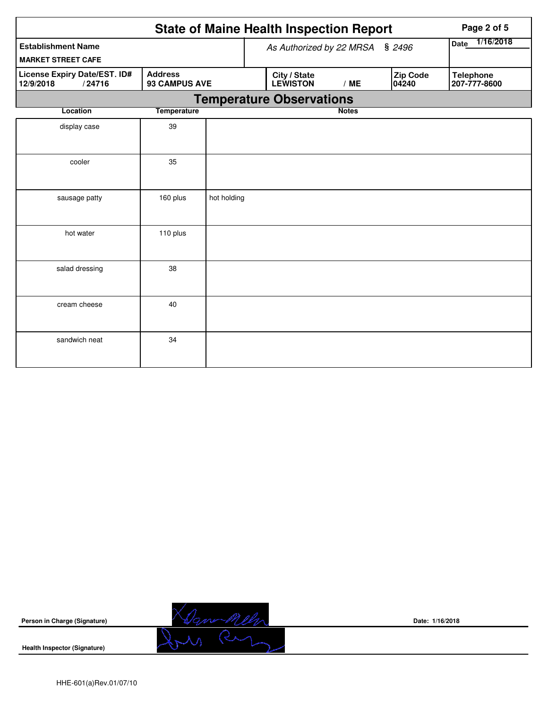|                                                                                        | <b>State of Maine Health Inspection Report</b> |             |                          | Page 2 of 5                     |              |                   |                                  |
|----------------------------------------------------------------------------------------|------------------------------------------------|-------------|--------------------------|---------------------------------|--------------|-------------------|----------------------------------|
| <b>Establishment Name</b><br><b>MARKET STREET CAFE</b>                                 |                                                |             | As Authorized by 22 MRSA | 1/16/2018<br>Date               |              |                   |                                  |
| License Expiry Date/EST. ID#<br><b>Address</b><br>93 CAMPUS AVE<br>12/9/2018<br>/24716 |                                                |             |                          | City / State<br><b>LEWISTON</b> | /ME          | Zip Code<br>04240 | <b>Telephone</b><br>207-777-8600 |
|                                                                                        |                                                |             |                          | <b>Temperature Observations</b> |              |                   |                                  |
| Location                                                                               | <b>Temperature</b>                             |             |                          |                                 | <b>Notes</b> |                   |                                  |
| display case                                                                           | 39                                             |             |                          |                                 |              |                   |                                  |
| cooler                                                                                 | 35                                             |             |                          |                                 |              |                   |                                  |
| sausage patty                                                                          | 160 plus                                       | hot holding |                          |                                 |              |                   |                                  |
| hot water                                                                              | 110 plus                                       |             |                          |                                 |              |                   |                                  |
| salad dressing                                                                         | 38                                             |             |                          |                                 |              |                   |                                  |
| cream cheese                                                                           | 40                                             |             |                          |                                 |              |                   |                                  |
| sandwich neat                                                                          | 34                                             |             |                          |                                 |              |                   |                                  |



**Date: 1/16/2018**

**Health Inspector (Signature)**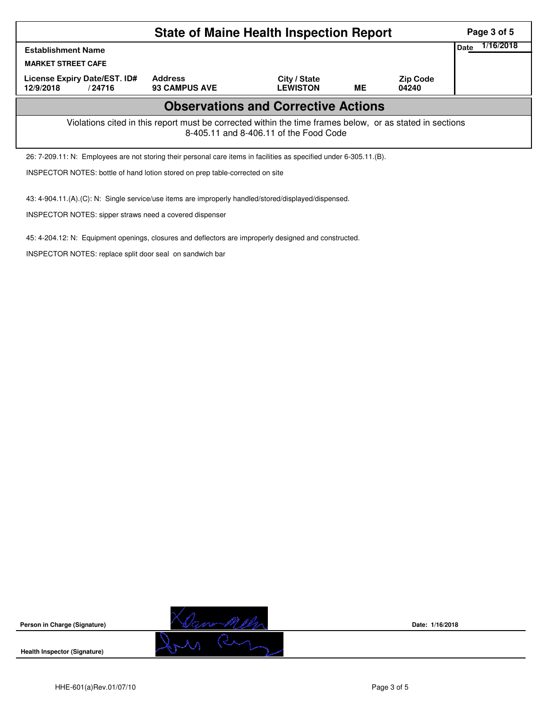|                                                                                                                                                    |                                                                                                                     | Page 3 of 5                            |                                 |    |                          |  |           |  |  |  |
|----------------------------------------------------------------------------------------------------------------------------------------------------|---------------------------------------------------------------------------------------------------------------------|----------------------------------------|---------------------------------|----|--------------------------|--|-----------|--|--|--|
| Date<br><b>Establishment Name</b>                                                                                                                  |                                                                                                                     |                                        |                                 |    |                          |  | 1/16/2018 |  |  |  |
| <b>MARKET STREET CAFE</b>                                                                                                                          |                                                                                                                     |                                        |                                 |    |                          |  |           |  |  |  |
| License Expiry Date/EST. ID#<br>12/9/2018                                                                                                          | /24716                                                                                                              | <b>Address</b><br><b>93 CAMPUS AVE</b> | City / State<br><b>LEWISTON</b> | ME | <b>Zip Code</b><br>04240 |  |           |  |  |  |
| <b>Observations and Corrective Actions</b>                                                                                                         |                                                                                                                     |                                        |                                 |    |                          |  |           |  |  |  |
| Violations cited in this report must be corrected within the time frames below, or as stated in sections<br>8-405.11 and 8-406.11 of the Food Code |                                                                                                                     |                                        |                                 |    |                          |  |           |  |  |  |
|                                                                                                                                                    | 26: 7-209.11: N: Employees are not storing their personal care items in facilities as specified under 6-305.11.(B). |                                        |                                 |    |                          |  |           |  |  |  |
|                                                                                                                                                    | INSPECTOR NOTES: bottle of hand lotion stored on prep table-corrected on site                                       |                                        |                                 |    |                          |  |           |  |  |  |

43: 4-904.11.(A).(C): N: Single service/use items are improperly handled/stored/displayed/dispensed.

INSPECTOR NOTES: sipper straws need a covered dispenser

45: 4-204.12: N: Equipment openings, closures and deflectors are improperly designed and constructed.

INSPECTOR NOTES: replace split door seal on sandwich bar



**Date: 1/16/2018**

**Health Inspector (Signature)**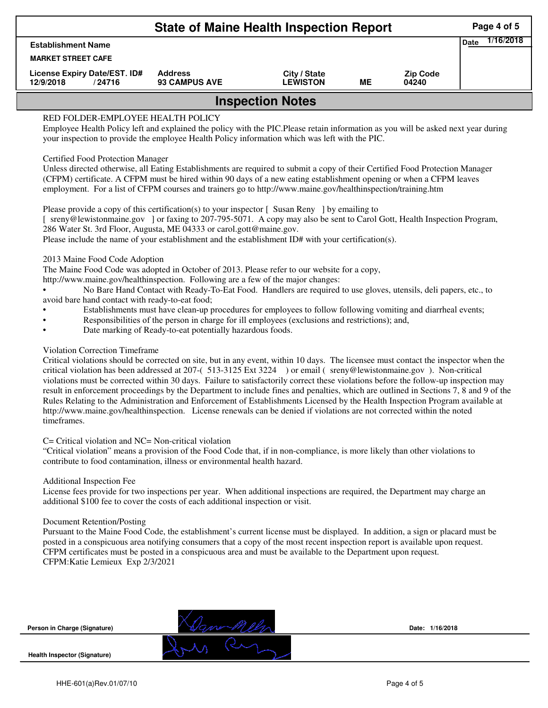| <b>State of Maine Health Inspection Report</b>      |                                        |                                 |    |                          |  |  |  |  |  |
|-----------------------------------------------------|----------------------------------------|---------------------------------|----|--------------------------|--|--|--|--|--|
| <b>Establishment Name</b>                           |                                        |                                 |    |                          |  |  |  |  |  |
| <b>MARKET STREET CAFE</b>                           |                                        |                                 |    |                          |  |  |  |  |  |
| License Expiry Date/EST. ID#<br>12/9/2018<br>/24716 | <b>Address</b><br><b>93 CAMPUS AVE</b> | City / State<br><b>LEWISTON</b> | ME | <b>Zip Code</b><br>04240 |  |  |  |  |  |
| <b>Inspection Notes</b>                             |                                        |                                 |    |                          |  |  |  |  |  |

# RED FOLDER-EMPLOYEE HEALTH POLICY

Employee Health Policy left and explained the policy with the PIC.Please retain information as you will be asked next year during your inspection to provide the employee Health Policy information which was left with the PIC.

## Certified Food Protection Manager

Unless directed otherwise, all Eating Establishments are required to submit a copy of their Certified Food Protection Manager (CFPM) certificate. A CFPM must be hired within 90 days of a new eating establishment opening or when a CFPM leaves employment. For a list of CFPM courses and trainers go to http://www.maine.gov/healthinspection/training.htm

Please provide a copy of this certification(s) to your inspector [Susan Reny ] by emailing to [ sreny@lewistonmaine.gov ] or faxing to 207-795-5071. A copy may also be sent to Carol Gott, Health Inspection Program, 286 Water St. 3rd Floor, Augusta, ME 04333 or carol.gott@maine.gov.

Please include the name of your establishment and the establishment ID# with your certification(s).

2013 Maine Food Code Adoption

The Maine Food Code was adopted in October of 2013. Please refer to our website for a copy,

http://www.maine.gov/healthinspection. Following are a few of the major changes:

• No Bare Hand Contact with Ready-To-Eat Food. Handlers are required to use gloves, utensils, deli papers, etc., to avoid bare hand contact with ready-to-eat food;

- Establishments must have clean-up procedures for employees to follow following vomiting and diarrheal events;
- Responsibilities of the person in charge for ill employees (exclusions and restrictions); and,
- Date marking of Ready-to-eat potentially hazardous foods.

## Violation Correction Timeframe

Critical violations should be corrected on site, but in any event, within 10 days. The licensee must contact the inspector when the critical violation has been addressed at 207-( 513-3125 Ext 3224 ) or email ( sreny@lewistonmaine.gov ). Non-critical violations must be corrected within 30 days. Failure to satisfactorily correct these violations before the follow-up inspection may result in enforcement proceedings by the Department to include fines and penalties, which are outlined in Sections 7, 8 and 9 of the Rules Relating to the Administration and Enforcement of Establishments Licensed by the Health Inspection Program available at http://www.maine.gov/healthinspection. License renewals can be denied if violations are not corrected within the noted timeframes.

#### C= Critical violation and NC= Non-critical violation

"Critical violation" means a provision of the Food Code that, if in non-compliance, is more likely than other violations to contribute to food contamination, illness or environmental health hazard.

#### Additional Inspection Fee

License fees provide for two inspections per year. When additional inspections are required, the Department may charge an additional \$100 fee to cover the costs of each additional inspection or visit.

#### Document Retention/Posting

Pursuant to the Maine Food Code, the establishment's current license must be displayed. In addition, a sign or placard must be posted in a conspicuous area notifying consumers that a copy of the most recent inspection report is available upon request. CFPM certificates must be posted in a conspicuous area and must be available to the Department upon request. CFPM:Katie Lemieux Exp 2/3/2021

**Person in Charge (Signature)**



**Date: 1/16/2018**

**Health Inspector (Signature)**